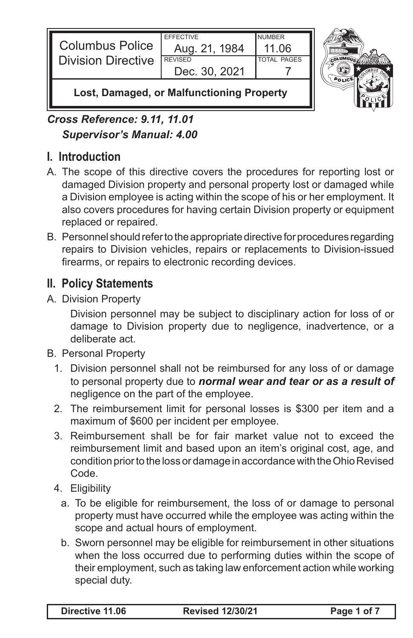| <b>Columbus Police</b><br><b>Division Directive</b> | <b>FFFFCTIVE</b><br>Aug. 21, 1984<br><b>REVISED</b><br>Dec. 30, 2021 | <b>NUMBER</b><br>11 O6<br><b>TOTAL PAGES</b> |  |
|-----------------------------------------------------|----------------------------------------------------------------------|----------------------------------------------|--|
|                                                     |                                                                      |                                              |  |



**Lost, Damaged, or Malfunctioning Property**

*Cross Reference: 9.11, 11.01 Supervisor's Manual: 4.00*

## **I. Introduction**

- A. The scope of this directive covers the procedures for reporting lost or damaged Division property and personal property lost or damaged while a Division employee is acting within the scope of his or her employment. It also covers procedures for having certain Division property or equipment replaced or repaired.
- B. Personnel should refer to the appropriate directive for procedures regarding repairs to Division vehicles, repairs or replacements to Division-issued firearms, or repairs to electronic recording devices.

## **II. Policy Statements**

A. Division Property

Division personnel may be subject to disciplinary action for loss of or damage to Division property due to negligence, inadvertence, or a deliberate act.

- B. Personal Property
	- 1. Division personnel shall not be reimbursed for any loss of or damage to personal property due to *normal wear and tear or as a result of* negligence on the part of the employee.
	- 2. The reimbursement limit for personal losses is \$300 per item and a maximum of \$600 per incident per employee.
	- 3. Reimbursement shall be for fair market value not to exceed the reimbursement limit and based upon an item's original cost, age, and condition prior to the loss or damage in accordance with the Ohio Revised Code.
	- 4. Eligibility
		- a. To be eligible for reimbursement, the loss of or damage to personal property must have occurred while the employee was acting within the scope and actual hours of employment.
		- b. Sworn personnel may be eligible for reimbursement in other situations when the loss occurred due to performing duties within the scope of their employment, such as taking law enforcement action while working special duty.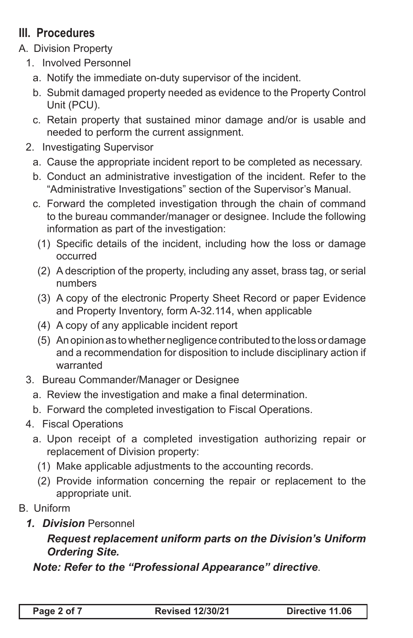## **III. Procedures**

- A. Division Property
	- 1. Involved Personnel
		- a. Notify the immediate on-duty supervisor of the incident.
		- b. Submit damaged property needed as evidence to the Property Control Unit (PCU).
		- c. Retain property that sustained minor damage and/or is usable and needed to perform the current assignment.
	- 2. Investigating Supervisor
		- a. Cause the appropriate incident report to be completed as necessary.
		- b. Conduct an administrative investigation of the incident. Refer to the "Administrative Investigations" section of the Supervisor's Manual.
		- c. Forward the completed investigation through the chain of command to the bureau commander/manager or designee. Include the following information as part of the investigation:
			- (1) Specific details of the incident, including how the loss or damage occurred
			- (2) A description of the property, including any asset, brass tag, or serial numbers
			- (3) A copy of the electronic Property Sheet Record or paper Evidence and Property Inventory, form A-32.114, when applicable
			- (4) A copy of any applicable incident report
			- (5) An opinion as to whether negligence contributed to the loss or damage and a recommendation for disposition to include disciplinary action if warranted
	- 3. Bureau Commander/Manager or Designee
		- a. Review the investigation and make a final determination.
		- b. Forward the completed investigation to Fiscal Operations.
	- 4. Fiscal Operations
		- a. Upon receipt of a completed investigation authorizing repair or replacement of Division property:
			- (1) Make applicable adjustments to the accounting records.
			- (2) Provide information concerning the repair or replacement to the appropriate unit.
- B. Uniform
	- *1. Division* Personnel

## *Request replacement uniform parts on the Division's Uniform Ordering Site.*

*Note: Refer to the "Professional Appearance" directive*.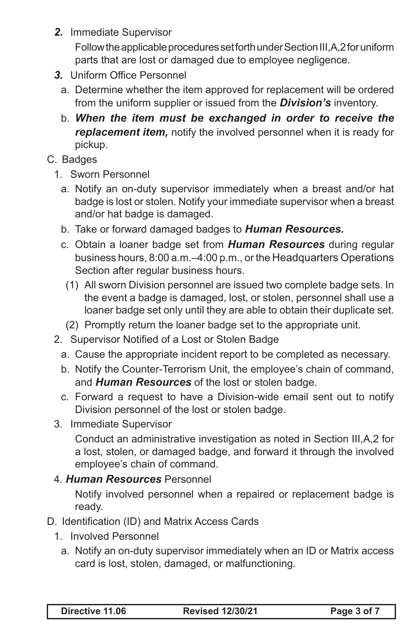*2.* Immediate Supervisor

Follow the applicable procedures set forth under Section III,A,2 for uniform parts that are lost or damaged due to employee negligence.

- *3.* Uniform Office Personnel
	- a. Determine whether the item approved for replacement will be ordered from the uniform supplier or issued from the *Division's* inventory.
	- b. *When the item must be exchanged in order to receive the replacement item,* notify the involved personnel when it is ready for pickup.
- C. Badges
	- 1. Sworn Personnel
		- a. Notify an on-duty supervisor immediately when a breast and/or hat badge is lost or stolen. Notify your immediate supervisor when a breast and/or hat badge is damaged.
		- b. Take or forward damaged badges to *Human Resources.*
		- c. Obtain a loaner badge set from *Human Resources* during regular business hours, 8:00 a.m.–4:00 p.m., or the Headquarters Operations Section after regular business hours.
			- (1) All sworn Division personnel are issued two complete badge sets. In the event a badge is damaged, lost, or stolen, personnel shall use a loaner badge set only until they are able to obtain their duplicate set.
		- (2) Promptly return the loaner badge set to the appropriate unit.
	- 2. Supervisor Notified of a Lost or Stolen Badge
		- a. Cause the appropriate incident report to be completed as necessary.
		- b. Notify the Counter-Terrorism Unit, the employee's chain of command, and *Human Resources* of the lost or stolen badge.
		- c. Forward a request to have a Division-wide email sent out to notify Division personnel of the lost or stolen badge.
	- 3. Immediate Supervisor

Conduct an administrative investigation as noted in Section III,A,2 for a lost, stolen, or damaged badge, and forward it through the involved employee's chain of command.

4. *Human Resources* Personnel

Notify involved personnel when a repaired or replacement badge is ready.

- D. Identification (ID) and Matrix Access Cards
	- 1. Involved Personnel
		- a. Notify an on-duty supervisor immediately when an ID or Matrix access card is lost, stolen, damaged, or malfunctioning.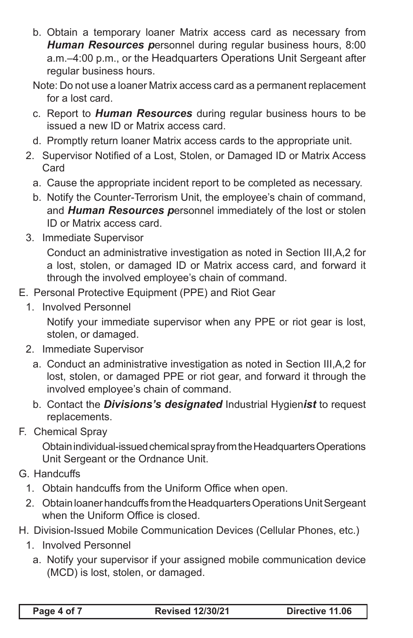- b. Obtain a temporary loaner Matrix access card as necessary from *Human Resources p*ersonnel during regular business hours, 8:00 a.m.–4:00 p.m., or the Headquarters Operations Unit Sergeant after regular business hours.
- Note: Do not use a loaner Matrix access card as a permanent replacement for a lost card.
- c. Report to *Human Resources* during regular business hours to be issued a new ID or Matrix access card.
- d. Promptly return loaner Matrix access cards to the appropriate unit.
- 2. Supervisor Notified of a Lost, Stolen, or Damaged ID or Matrix Access Card
	- a. Cause the appropriate incident report to be completed as necessary.
	- b. Notify the Counter-Terrorism Unit, the employee's chain of command, and *Human Resources p*ersonnel immediately of the lost or stolen ID or Matrix access card.
- 3. Immediate Supervisor

Conduct an administrative investigation as noted in Section III,A,2 for a lost, stolen, or damaged ID or Matrix access card, and forward it through the involved employee's chain of command.

- E. Personal Protective Equipment (PPE) and Riot Gear
	- 1. Involved Personnel

Notify your immediate supervisor when any PPE or riot gear is lost, stolen, or damaged.

- 2. Immediate Supervisor
	- a. Conduct an administrative investigation as noted in Section III,A,2 for lost, stolen, or damaged PPE or riot gear, and forward it through the involved employee's chain of command.
	- b. Contact the *Divisions's designated* Industrial Hygien*ist* to request replacements.
- F. Chemical Spray

Obtain individual-issued chemical spray from the Headquarters Operations Unit Sergeant or the Ordnance Unit.

- G. Handcuffs
	- 1. Obtain handcuffs from the Uniform Office when open.
	- 2. Obtain loaner handcuffs from the Headquarters Operations Unit Sergeant when the Uniform Office is closed.
- H. Division-Issued Mobile Communication Devices (Cellular Phones, etc.)
	- 1. Involved Personnel
		- a. Notify your supervisor if your assigned mobile communication device (MCD) is lost, stolen, or damaged.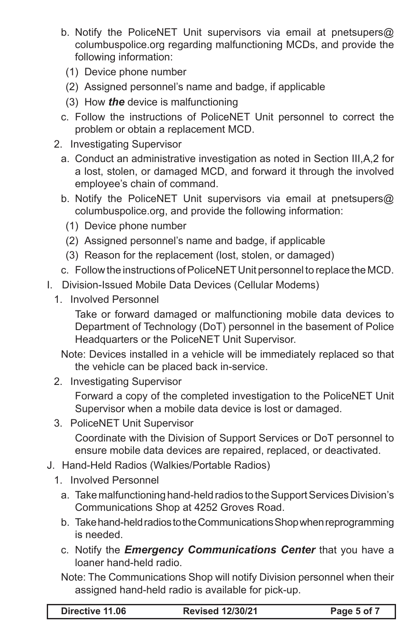- b. Notify the PoliceNET Unit supervisors via email at pnetsupers@ columbuspolice.org regarding malfunctioning MCDs, and provide the following information:
	- (1) Device phone number
	- (2) Assigned personnel's name and badge, if applicable
	- (3) How *the* device is malfunctioning
- c. Follow the instructions of PoliceNET Unit personnel to correct the problem or obtain a replacement MCD.
- 2. Investigating Supervisor
	- a. Conduct an administrative investigation as noted in Section III,A,2 for a lost, stolen, or damaged MCD, and forward it through the involved employee's chain of command.
	- b. Notify the PoliceNET Unit supervisors via email at pnetsupers@ columbuspolice.org, and provide the following information:
		- (1) Device phone number
		- (2) Assigned personnel's name and badge, if applicable
		- (3) Reason for the replacement (lost, stolen, or damaged)
	- c. Follow the instructions of PoliceNET Unit personnel to replace the MCD.
- I. Division-Issued Mobile Data Devices (Cellular Modems)
	- 1. Involved Personnel

Take or forward damaged or malfunctioning mobile data devices to Department of Technology (DoT) personnel in the basement of Police Headquarters or the PoliceNET Unit Supervisor.

Note: Devices installed in a vehicle will be immediately replaced so that the vehicle can be placed back in-service.

2. Investigating Supervisor

Forward a copy of the completed investigation to the PoliceNET Unit Supervisor when a mobile data device is lost or damaged.

3. PoliceNET Unit Supervisor

Coordinate with the Division of Support Services or DoT personnel to ensure mobile data devices are repaired, replaced, or deactivated.

- J. Hand-Held Radios (Walkies/Portable Radios)
	- 1. Involved Personnel
		- a. Take malfunctioning hand-held radios to the Support Services Division's Communications Shop at 4252 Groves Road.
		- b. Take hand-held radios to the Communications Shop when reprogramming is needed.
		- c. Notify the *Emergency Communications Center* that you have a loaner hand-held radio.

Note: The Communications Shop will notify Division personnel when their assigned hand-held radio is available for pick-up.

| Directive 11.06 | <b>Revised 12/30/21</b> | Page 5 of 7 |
|-----------------|-------------------------|-------------|
|                 |                         |             |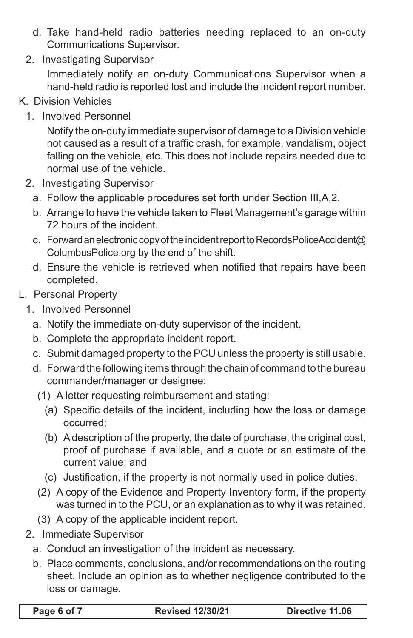- d. Take hand-held radio batteries needing replaced to an on-duty Communications Supervisor.
- 2. Investigating Supervisor Immediately notify an on-duty Communications Supervisor when a hand-held radio is reported lost and include the incident report number.
- K. Division Vehicles
	- 1. Involved Personnel

Notify the on-duty immediate supervisor of damage to a Division vehicle not caused as a result of a traffic crash, for example, vandalism, object falling on the vehicle, etc. This does not include repairs needed due to normal use of the vehicle.

- 2. Investigating Supervisor
	- a. Follow the applicable procedures set forth under Section III,A,2.
	- b. Arrange to have the vehicle taken to Fleet Management's garage within 72 hours of the incident.
	- c. Forward an electronic copy of the incident report to RecordsPoliceAccident@ ColumbusPolice.org by the end of the shift.
	- d. Ensure the vehicle is retrieved when notified that repairs have been completed.
- L. Personal Property
	- 1. Involved Personnel
		- a. Notify the immediate on-duty supervisor of the incident.
		- b. Complete the appropriate incident report.
		- c. Submit damaged property to the PCU unless the property is still usable.
		- d. Forward the following items through the chain of command to the bureau commander/manager or designee:
			- (1) A letter requesting reimbursement and stating:
				- (a) Specific details of the incident, including how the loss or damage occurred;
				- (b) A description of the property, the date of purchase, the original cost, proof of purchase if available, and a quote or an estimate of the current value; and
				- (c) Justification, if the property is not normally used in police duties.
			- (2) A copy of the Evidence and Property Inventory form, if the property was turned in to the PCU, or an explanation as to why it was retained.
		- (3) A copy of the applicable incident report.
	- 2. Immediate Supervisor
		- a. Conduct an investigation of the incident as necessary.
		- b. Place comments, conclusions, and/or recommendations on the routing sheet. Include an opinion as to whether negligence contributed to the loss or damage.